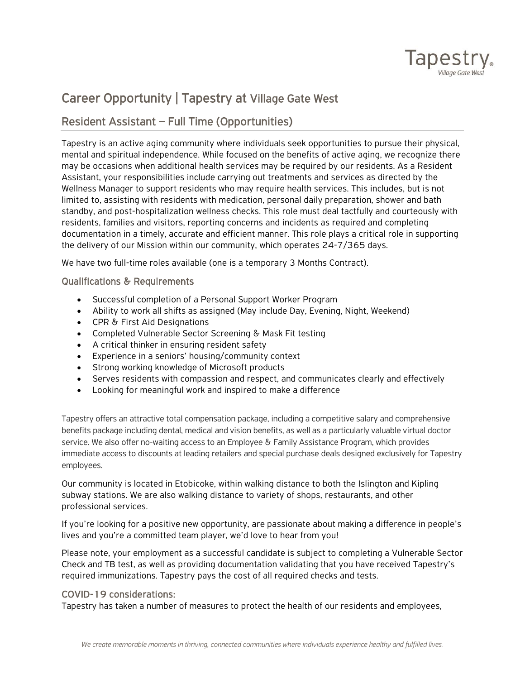

# Career Opportunity | Tapestry at Village Gate West

# Resident Assistant – Full Time (Opportunities)

Tapestry is an active aging community where individuals seek opportunities to pursue their physical, mental and spiritual independence. While focused on the benefits of active aging, we recognize there may be occasions when additional health services may be required by our residents. As a Resident Assistant, your responsibilities include carrying out treatments and services as directed by the Wellness Manager to support residents who may require health services. This includes, but is not limited to, assisting with residents with medication, personal daily preparation, shower and bath standby, and post-hospitalization wellness checks. This role must deal tactfully and courteously with residents, families and visitors, reporting concerns and incidents as required and completing documentation in a timely, accurate and efficient manner. This role plays a critical role in supporting the delivery of our Mission within our community, which operates 24-7/365 days.

We have two full-time roles available (one is a temporary 3 Months Contract).

#### Qualifications & Requirements

- Successful completion of a Personal Support Worker Program
- Ability to work all shifts as assigned (May include Day, Evening, Night, Weekend)
- CPR & First Aid Designations
- Completed Vulnerable Sector Screening & Mask Fit testing
- A critical thinker in ensuring resident safety
- Experience in a seniors' housing/community context
- Strong working knowledge of Microsoft products
- Serves residents with compassion and respect, and communicates clearly and effectively
- Looking for meaningful work and inspired to make a difference

Tapestry offers an attractive total compensation package, including a competitive salary and comprehensive benefits package including dental, medical and vision benefits, as well as a particularly valuable virtual doctor service. We also offer no-waiting access to an Employee & Family Assistance Program, which provides immediate access to discounts at leading retailers and special purchase deals designed exclusively for Tapestry employees.

Our community is located in Etobicoke, within walking distance to both the Islington and Kipling subway stations. We are also walking distance to variety of shops, restaurants, and other professional services.

If you're looking for a positive new opportunity, are passionate about making a difference in people's lives and you're a committed team player, we'd love to hear from you!

Please note, your employment as a successful candidate is subject to completing a Vulnerable Sector Check and TB test, as well as providing documentation validating that you have received Tapestry's required immunizations. Tapestry pays the cost of all required checks and tests.

## COVID-19 considerations:

Tapestry has taken a number of measures to protect the health of our residents and employees,